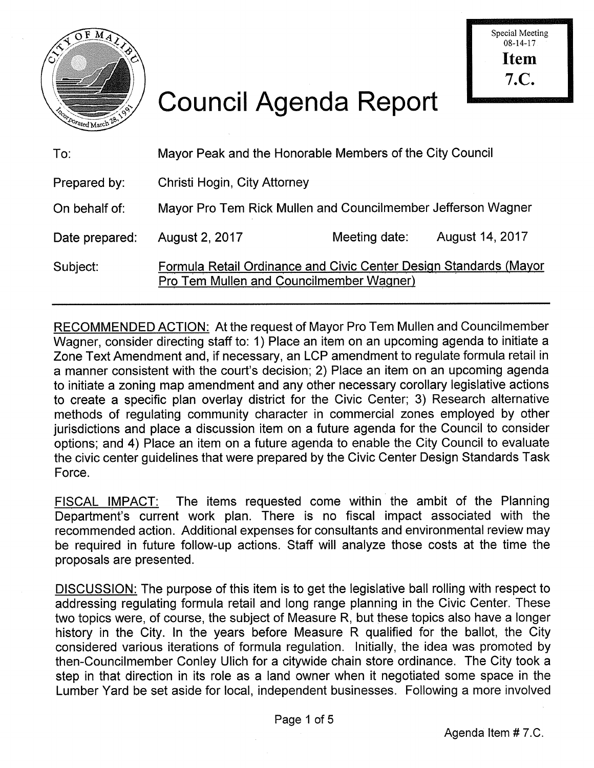

## Council Agenda Report

| To:            | Mayor Peak and the Honorable Members of the City Council                                                      |               |                 |
|----------------|---------------------------------------------------------------------------------------------------------------|---------------|-----------------|
| Prepared by:   | Christi Hogin, City Attorney                                                                                  |               |                 |
| On behalf of:  | Mayor Pro Tem Rick Mullen and Councilmember Jefferson Wagner                                                  |               |                 |
| Date prepared: | August 2, 2017                                                                                                | Meeting date: | August 14, 2017 |
| Subject:       | Formula Retail Ordinance and Civic Center Design Standards (Mayor<br>Pro Tem Mullen and Councilmember Wagner) |               |                 |

RECOMMENDED ACTION: At the request of Mayor Pro Tem Mullen and Councilmember Wagner, consider directing staff to: 1) Place an item on an upcoming agenda to initiate a Zone Text Amendment and, if necessary, an LCP amendment to regulate formula retail in a manner consistent with the court's decision; 2) Place an item on an upcoming agenda to initiate a zoning map amendment and any other necessary corollary legislative actions to create a specific plan overlay district for the Civic Center; 3) Research alternative methods of regulating community character in commercial zones employed by other jurisdictions and place a discussion item on a future agenda for the Council to consider options; and 4) Place an item on a future agenda to enable the City Council to evaluate the civic center guidelines that were prepared by the Civic Center Design Standards Task Force.

FISCAL IMPACT: The items requested come within the ambit of the Planning Department's current work plan. There is no fiscal impact associated with the recommended action. Additional expenses for consultants and environmental review may be required in future follow-up actions. Staff will analyze those costs at the time the proposals are presented.

DISCUSSION: The purpose of this item is to get the legislative ball rolling with respect to addressing regulating formula retail and long range planning in the Civic Center. These two topics were, of course, the subject of Measure R, but these topics also have a longer history in the City. In the years before Measure R qualified for the ballot, the City considered various iterations of formula regulation. Initially, the idea was promoted by then-Councilmember Conley Ulich for a citywide chain store ordinance. The City took a step in that direction in its role as a land owner when it negotiated some space in the Lumber Yard be set aside for local, independent businesses. Following a more involved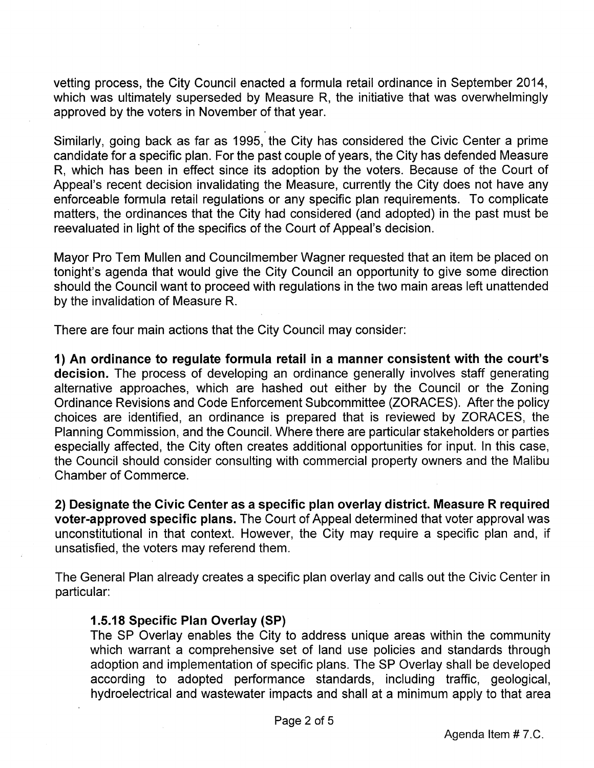vetting process, the City Council enacted a formula retail ordinance in September 2014, which was ultimately superseded by Measure R, the initiative that was overwhelmingly approved by the voters in November of that year.

Similarly, going back as far as 1995, the City has considered the Civic Center a prime candidate for a specific plan. For the past couple of years, the City has defended Measure R, which has been in effect since its adoption by the voters. Because of the Court of Appeal's recent decision invalidating the Measure, currently the City does not have any enforceable formula retail regulations or any specific plan requirements. To complicate matters, the ordinances that the City had considered (and adopted) in the past must be reevaluated in light of the specifics of the Court of Appeal's decision.

Mayor Pro Tern Mullen and Councilmember Wagner requested that an item be placed on tonight's agenda that would give the City Council an opportunity to give some direction should the Council want to proceed with regulations in the two main areas left unattended by the invalidation of Measure R.

There are four main actions that the City Council may consider:

1) An ordinance to regulate formula retail in a manner consistent with the court's decision. The process of developing an ordinance generally involves staff generating alternative approaches, which are hashed out either by the Council or the Zoning Ordinance Revisions and Code Enforcement Subcommittee (ZORACES). After the policy choices are identified, an ordinance is prepared that is reviewed by ZORACES, the Planning Commission, and the Council. Where there are particular stakeholders or parties especially affected, the City often creates additional opportunities for input. In this case, the Council should consider consulting with commercial property owners and the Malibu Chamber of Commerce.

2) Designate the Civic Center as a specific plan overlay district. Measure R required voter-approved specific plans. The Court of Appeal determined that voter approval was unconstitutional in that context. However, the City may require a specific plan and, if unsatisfied, the voters may referend them.

The General Plan already creates a specific plan overlay and calls out the Civic Center in particular:

## 1.5.18 Specific Plan Overlay (SP)

The SP Overlay enables the City to address unique areas within the community which warrant a comprehensive set of land use policies and standards through adoption and implementation of specific plans. The SP Overlay shall be developed according to adopted performance standards, including traffic, geological, hydroelectrical and wastewater impacts and shall at a minimum apply to that area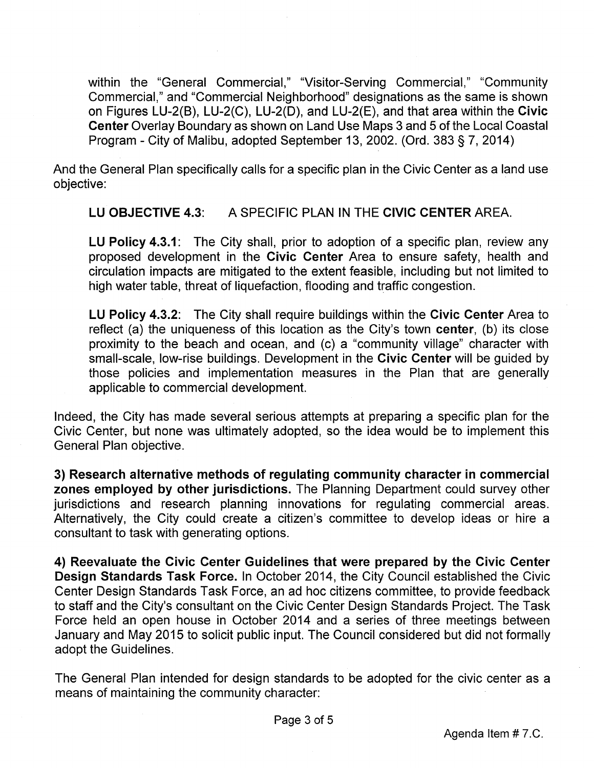within the "General Commercial," "Visitor-Serving Commercial," "Community Commercial," and "Commercial Neighborhood" designations as the same is shown on Figures LU-2(B), LU-2(C), LU-2(D), and LU-2(E), and that area within the Civic Center Overlay Boundary as shown on Land Use Maps 3 and 5 of the Local Coastal Program - City of Malibu, adopted September 13, 2002. (Ord. 383 § 7, 2014)

And the General Plan specifically calls for a specific plan in the Civic Center as a land use objective:

LU OBJECTIVE 4.3: A SPECIFIC PLAN IN THE CIVIC CENTER AREA.

LU Policy 4.3.1: The City shall, prior to adoption of a specific plan, review any proposed development in the Civic Center Area to ensure safety, health and circulation impacts are mitigated to the extent feasible, including but not limited to high water table, threat of liquefaction, flooding and traffic congestion.

LU Policy 4.3.2: The City shall require buildings within the Civic Center Area to reflect (a) the uniqueness of this location as the City's town center, (b) its close proximity to the beach and ocean, and (c) a "community village" character with small-scale, low-rise buildings. Development in the Civic Center will be guided by those policies and implementation measures in the Plan that are generally applicable to commercial development.

Indeed, the City has made several serious attempts at preparing a specific plan for the Civic Center, but none was ultimately adopted, so the idea would be to implement this General Plan objective.

3) Research alternative methods of regulating community character in commercial zones employed by other jurisdictions. The Planning Department could survey other jurisdictions and research planning innovations for regulating commercial areas. Alternatively, the City could create a citizen's committee to develop ideas or hire a consultant to task with generating options.

4) Reevaluate the Civic Center Guidelines that were prepared by the Civic Center Design Standards Task Force. In October 2014, the City Council established the Civic Center Design Standards Task Force, an ad hoc citizens committee, to provide feedback to staff and the City's consultant on the Civic Center Design Standards Project. The Task Force held an open house in October 2014 and a series of three meetings between January and May 2015 to solicit public input. The Council considered but did not formally adopt the Guidelines.

The General Plan intended for design standards to be adopted for the civic center as a means of maintaining the community character: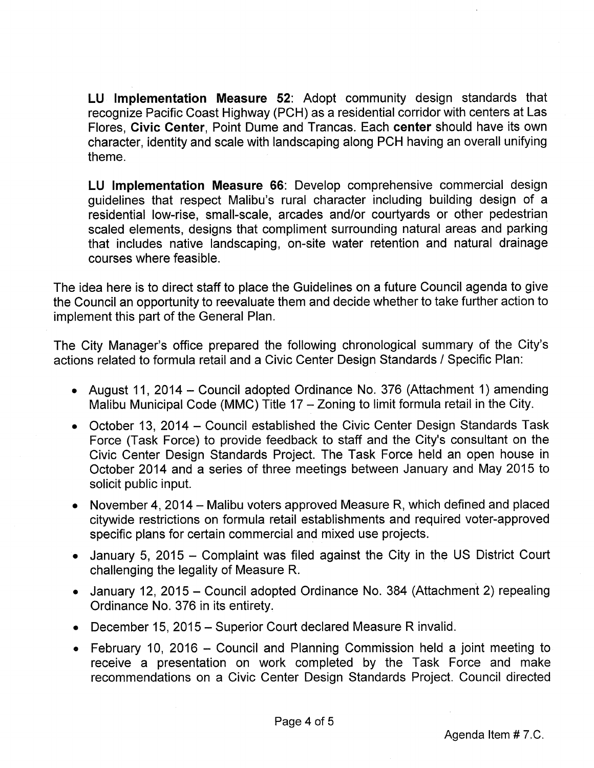LU Implementation Measure 52: Adopt community design standards that recognize Pacific Coast Highway (PCH) as a residential corridor with centers at Las Flores, Civic Center, Point Dume and Trancas. Each center should have its own character, identity and scale with landscaping along PCH having an overall unifying theme.

LU Implementation Measure 66: Develop comprehensive commercial design guidelines that respect Malibu's rural character including building design of a residential low-rise, small-scale, arcades and/or courtyards or other pedestrian scaled elements, designs that compliment surrounding natural areas and parking that includes native landscaping, on-site water retention and natural drainage courses where feasible.

The idea here is to direct staff to place the Guidelines on a future Council agenda to give the Council an opportunity to reevaluate them and decide whether to take further action to implement this part of the General Plan.

The City Manager's office prepared the following chronological summary of the City's actions related to formula retail and a Civic Center Design Standards / Specific Plan:

- August 11, 2014 Council adopted Ordinance No. 376 (Attachment 1) amending Malibu Municipal Code (MMC) Title 17 — Zoning to limit formula retail in the City.
- October 13, 2014 Council established the Civic Center Design Standards Task Force (Task Force) to provide feedback to staff and the City's consultant on the Civic Center Design Standards Project. The Task Force held an open house in October 2014 and a series of three meetings between January and May 2015 to solicit public input.
- November 4, 2014 Malibu voters approved Measure R, which defined and placed citywide restrictions on formula retail establishments and required voter-approved specific plans for certain commercial and mixed use projects.
- January 5, 2015 Complaint was filed against the City in the US District Court challenging the legality of Measure R.
- January 12, 2015 Council adopted Ordinance No. 384 (Attachment 2) repealing Ordinance No. 376 in its entirety.
- December 15, 2015 Superior Court declared Measure R invalid.
- February 10, 2016 Council and Planning Commission held a joint meeting to receive a presentation on work completed by the Task Force and make recommendations on a Civic Center Design Standards Project. Council directed